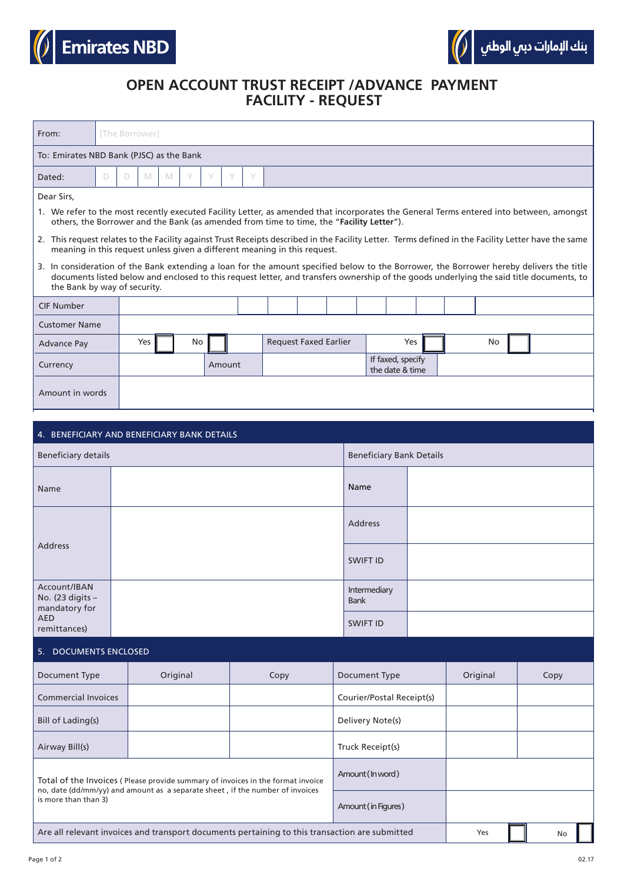

## **OPEN ACCOUNT TRUST RECEIPT /ADVANCE PAYMENT FACILITY - REQUEST**

| From:                                                                                                                                                                                                                                                                                                               |                      | [The Borrower]                            |   |   |   |                                 |                                      |  |  |  |     |  |  |    |  |  |  |  |  |  |  |
|---------------------------------------------------------------------------------------------------------------------------------------------------------------------------------------------------------------------------------------------------------------------------------------------------------------------|----------------------|-------------------------------------------|---|---|---|---------------------------------|--------------------------------------|--|--|--|-----|--|--|----|--|--|--|--|--|--|--|
| To: Emirates NBD Bank (PJSC) as the Bank                                                                                                                                                                                                                                                                            |                      |                                           |   |   |   |                                 |                                      |  |  |  |     |  |  |    |  |  |  |  |  |  |  |
| Dated:                                                                                                                                                                                                                                                                                                              | D                    | D                                         | M | M | Y |                                 | Y<br>Y                               |  |  |  |     |  |  |    |  |  |  |  |  |  |  |
| Dear Sirs,<br>1. We refer to the most recently executed Facility Letter, as amended that incorporates the General Terms entered into between, amongst                                                                                                                                                               |                      |                                           |   |   |   |                                 |                                      |  |  |  |     |  |  |    |  |  |  |  |  |  |  |
| others, the Borrower and the Bank (as amended from time to time, the "Facility Letter").                                                                                                                                                                                                                            |                      |                                           |   |   |   |                                 |                                      |  |  |  |     |  |  |    |  |  |  |  |  |  |  |
| 2. This request relates to the Facility against Trust Receipts described in the Facility Letter. Terms defined in the Facility Letter have the same<br>meaning in this request unless given a different meaning in this request.                                                                                    |                      |                                           |   |   |   |                                 |                                      |  |  |  |     |  |  |    |  |  |  |  |  |  |  |
| 3. In consideration of the Bank extending a loan for the amount specified below to the Borrower, the Borrower hereby delivers the title<br>documents listed below and enclosed to this request letter, and transfers ownership of the goods underlying the said title documents, to<br>the Bank by way of security. |                      |                                           |   |   |   |                                 |                                      |  |  |  |     |  |  |    |  |  |  |  |  |  |  |
| <b>CIF Number</b>                                                                                                                                                                                                                                                                                                   |                      |                                           |   |   |   |                                 |                                      |  |  |  |     |  |  |    |  |  |  |  |  |  |  |
|                                                                                                                                                                                                                                                                                                                     | <b>Customer Name</b> |                                           |   |   |   |                                 |                                      |  |  |  |     |  |  |    |  |  |  |  |  |  |  |
| <b>Advance Pay</b>                                                                                                                                                                                                                                                                                                  |                      | Yes<br><b>Request Faxed Earlier</b><br>No |   |   |   |                                 |                                      |  |  |  | Yes |  |  | No |  |  |  |  |  |  |  |
| Currency                                                                                                                                                                                                                                                                                                            | Amount               |                                           |   |   |   |                                 | If faxed, specify<br>the date & time |  |  |  |     |  |  |    |  |  |  |  |  |  |  |
|                                                                                                                                                                                                                                                                                                                     | Amount in words      |                                           |   |   |   |                                 |                                      |  |  |  |     |  |  |    |  |  |  |  |  |  |  |
|                                                                                                                                                                                                                                                                                                                     |                      |                                           |   |   |   |                                 |                                      |  |  |  |     |  |  |    |  |  |  |  |  |  |  |
| 4. BENEFICIARY AND BENEFICIARY BANK DETAILS                                                                                                                                                                                                                                                                         |                      |                                           |   |   |   |                                 |                                      |  |  |  |     |  |  |    |  |  |  |  |  |  |  |
| <b>Beneficiary details</b>                                                                                                                                                                                                                                                                                          |                      |                                           |   |   |   | <b>Beneficiary Bank Details</b> |                                      |  |  |  |     |  |  |    |  |  |  |  |  |  |  |
| Name                                                                                                                                                                                                                                                                                                                |                      |                                           |   |   |   |                                 | Name                                 |  |  |  |     |  |  |    |  |  |  |  |  |  |  |
| <b>Address</b>                                                                                                                                                                                                                                                                                                      | <b>Address</b>       |                                           |   |   |   |                                 |                                      |  |  |  |     |  |  |    |  |  |  |  |  |  |  |
|                                                                                                                                                                                                                                                                                                                     |                      |                                           |   |   |   |                                 |                                      |  |  |  |     |  |  |    |  |  |  |  |  |  |  |

|                                                                            | <b>SWIFT ID</b>             |  |
|----------------------------------------------------------------------------|-----------------------------|--|
| Account/IBAN<br>No. (23 digits $-$<br>mandatory for<br>AED<br>remittances) | Intermediary<br><b>Bank</b> |  |
|                                                                            | SWIFT ID                    |  |

| 5.<br><b>DOCUMENTS ENCLOSED</b> |                                                                                                                                                                  |                     |                           |      |  |  |
|---------------------------------|------------------------------------------------------------------------------------------------------------------------------------------------------------------|---------------------|---------------------------|------|--|--|
| Document Type                   | Original                                                                                                                                                         | Document Type       | Original                  | Copy |  |  |
| <b>Commercial Invoices</b>      |                                                                                                                                                                  |                     | Courier/Postal Receipt(s) |      |  |  |
| Bill of Lading(s)               |                                                                                                                                                                  | Delivery Note(s)    |                           |      |  |  |
| Airway Bill(s)                  |                                                                                                                                                                  |                     | Truck Receipt(s)          |      |  |  |
|                                 | Total of the Invoices (Please provide summary of invoices in the format invoice<br>no, date (dd/mm/yy) and amount as a separate sheet, if the number of invoices |                     | Amount (In word)          |      |  |  |
| is more than than 3)            |                                                                                                                                                                  | Amount (in Figures) |                           |      |  |  |
|                                 | Are all relevant invoices and transport documents pertaining to this transaction are submitted                                                                   |                     | Yes                       | No   |  |  |